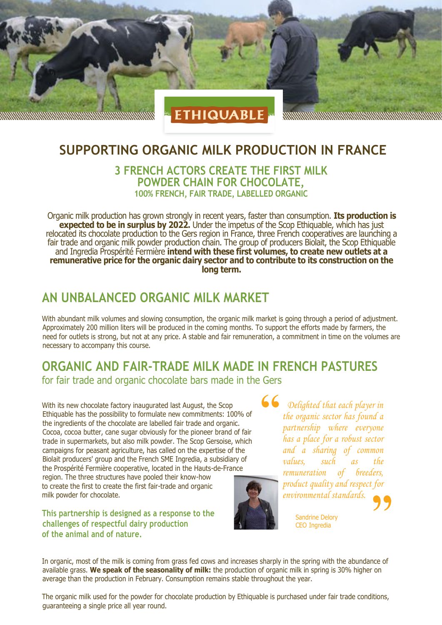

#### **SUPPORTING ORGANIC MILK PRODUCTION IN FRANCE**

#### **3 FRENCH ACTORS CREATE THE FIRST MILK POWDER CHAIN FOR CHOCOLATE, 100% FRENCH, FAIR TRADE, LABELLED ORGANIC**

Organic milk production has grown strongly in recent years, faster than consumption. **Its production is expected to be in surplus by 2022.** Under the impetus of the Scop Ethiquable, which has just relocated its chocolate production to the Gers region in France, three French cooperatives are launching a fair trade and organic milk powder production chain. The group of producers Biolait, the Scop Ethiquable and Ingredia Prospérité Fermière **intend with these first volumes, to create new outlets at a remunerative price for the organic dairy sector and to contribute to its construction on the long term.**

#### **AN UNBALANCED ORGANIC MILK MARKET**

With abundant milk volumes and slowing consumption, the organic milk market is going through a period of adjustment. Approximately 200 million liters will be produced in the coming months. To support the efforts made by farmers, the need for outlets is strong, but not at any price. A stable and fair remuneration, a commitment in time on the volumes are necessary to accompany this course.

## **ORGANIC AND FAIR-TRADE MILK MADE IN FRENCH PASTURES**

for fair trade and organic chocolate bars made in the Gers

With its new chocolate factory inaugurated last August, the Scop Ethiquable has the possibility to formulate new commitments: 100% of the ingredients of the chocolate are labelled fair trade and organic. Cocoa, cocoa butter, cane sugar obviously for the pioneer brand of fair trade in supermarkets, but also milk powder. The Scop Gersoise, which campaigns for peasant agriculture, has called on the expertise of the Biolait producers' group and the French SME Ingredia, a subsidiary of the Prospérité Fermière cooperative, located in the Hauts-de-France region. The three structures have pooled their know-how to create the first to create the first fair-trade and organic

**This partnership is designed as a response to the challenges of respectful dairy production of the animal and of nature.**

milk powder for chocolate.

**' '** *Delighted that each player in the organic sector has found a partnership where everyone has a place for a robust sector and a sharing of common values, such as the remuneration of breeders, product quality and respect for environmental standards.*

Sandrine Delory CEO Ingredia

In organic, most of the milk is coming from grass fed cows and increases sharply in the spring with the abundance of available grass. **We speak of the seasonality of milk:** the production of organic milk in spring is 30% higher on average than the production in February. Consumption remains stable throughout the year.

The organic milk used for the powder for chocolate production by Ethiquable is purchased under fair trade conditions, guaranteeing a single price all year round.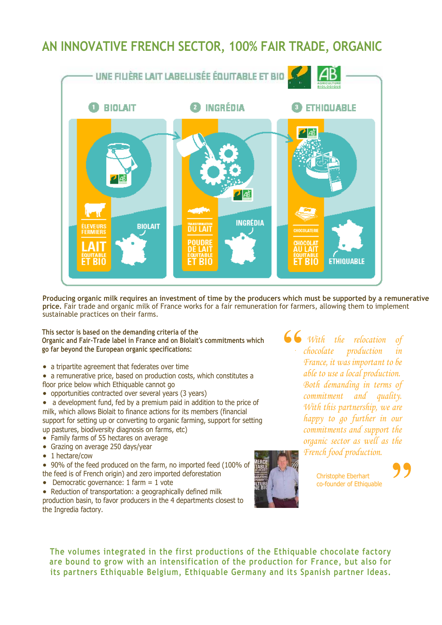### **AN INNOVATIVE FRENCH SECTOR, 100% FAIR TRADE, ORGANIC**



**Producing organic milk requires an investment of time by the producers which must be supported by a remunerative price.** Fair trade and organic milk of France works for a fair remuneration for farmers, allowing them to implement sustainable practices on their farms.

**This sector is based on the demanding criteria of the Organic and Fair-Trade label in France and on Biolait's commitments which go far beyond the European organic specifications:**

- a tripartite agreement that federates over time
- a remunerative price, based on production costs, which constitutes a floor price below which Ethiquable cannot go
- opportunities contracted over several years (3 years)

• a development fund, fed by a premium paid in addition to the price of milk, which allows Biolait to finance actions for its members (financial support for setting up or converting to organic farming, support for setting up pastures, biodiversity diagnosis on farms, etc)

- Family farms of 55 hectares on average
- Grazing on average 250 days/year
- 1 hectare/cow

 90% of the feed produced on the farm, no imported feed (100% of the feed is of French origin) and zero imported deforestation

• Democratic governance:  $1$  farm =  $1$  vote

• Reduction of transportation: a geographically defined milk production basin, to favor producers in the 4 departments closest to the Ingredia factory.

**' '** *tre chocolate production in With the relocation of France, it was important to be able to use a local production. Both demanding in terms of commitment and quality. With this partnership, we are happy to go further in our commitments and support the organic sector as well as the French food production.*



Christophe Eberhart co-founder of Ethiquable

**The volumes integrated in the first productions of the Ethiquable chocolate factory are bound to grow with an intensification of the production for France, but also for**  its partners Ethiquable Belgium, Ethiquable Germany and its Spanish partner Ideas.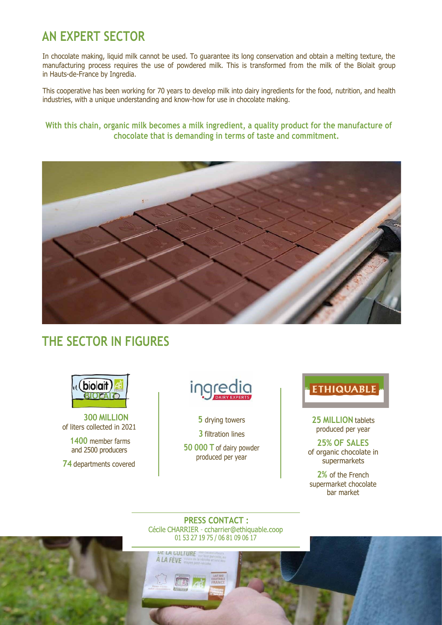### **AN EXPERT SECTOR**

In chocolate making, liquid milk cannot be used. To guarantee its long conservation and obtain a melting texture, the manufacturing process requires the use of powdered milk. This is transformed from the milk of the Biolait group in Hauts-de-France by Ingredia.

This cooperative has been working for 70 years to develop milk into dairy ingredients for the food, nutrition, and health industries, with a unique understanding and know-how for use in chocolate making.

**With this chain, organic milk becomes a milk ingredient, a quality product for the manufacture of chocolate that is demanding in terms of taste and commitment.**



#### **THE SECTOR IN FIGURES**



**300 MILLION** of liters collected in 2021

**1400** member farms and 2500 producers

**74** departments covered



**5** drying towers

**3** filtration lines

**50 000 T** of dairy powder produced per year

# **ETHIQUABLE**

**25 MILLION** tablets produced per year

**25% OF SALES** of organic chocolate in supermarkets

**2%** of the French supermarket chocolate bar market